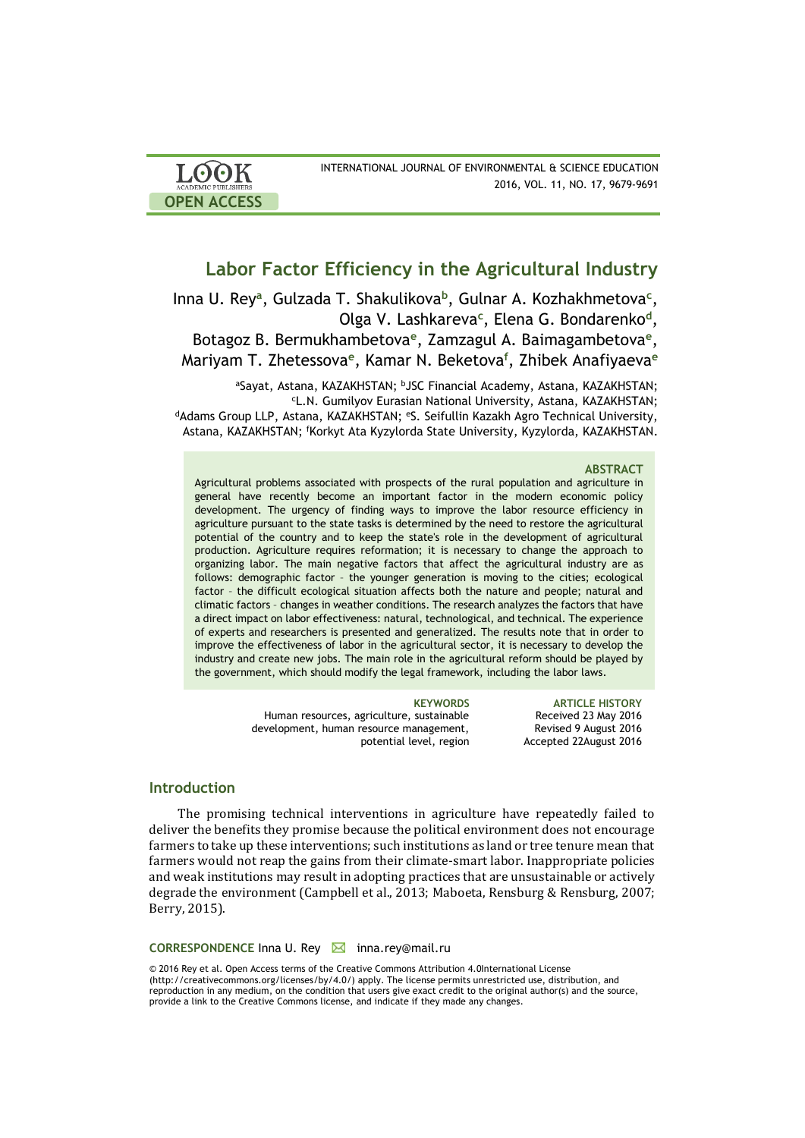| <b>LOOK</b>                | INTERNATIONAL JOURNAL OF ENVIRONMENTAL & SCIENCE EDUCATION |
|----------------------------|------------------------------------------------------------|
| <b>ACADEMIC PUBLISHERS</b> | 2016, VOL. 11, NO. 17, 9679-9691                           |
| <b>OPEN ACCESS</b>         |                                                            |

# **Labor Factor Efficiency in the Agricultural Industry**

Inna U. Rеy**<sup>a</sup>** , Gulzada T. Shakulikova**<sup>b</sup>** , Gulnar A. Kozhakhmetova**<sup>c</sup>** , Olga V. Lashkareva**<sup>c</sup>** , Elena G. Bondarenko**<sup>d</sup>** , Botagoz B. Bermukhambetova<sup>e</sup>, Zamzagul A. Baimagambetova<sup>e</sup>, Mariyam T. Zhetessova**<sup>e</sup>** , Kamar N. Beketova**<sup>f</sup>** , Zhibek Anafiyaeva**<sup>e</sup>**

aSayat, Astana, KAZAKHSTAN; bJSC Financial Academy, Astana, KAZAKHSTAN; <sup>с</sup>L.N. Gumilyov Eurasian National University, Astana, KAZAKHSTAN; <sup>d</sup>Adams Group LLP, Astana, KAZAKHSTAN; <sup>e</sup>S. Seifullin Kazakh Agro Technical University, Astana, KAZAKHSTAN; <sup>f</sup>Korkyt Ata Kyzylorda State University, Kyzylorda, KAZAKHSTAN.

### **ABSTRACT**

Agricultural problems associated with prospects of the rural population and agriculture in general have recently become an important factor in the modern economic policy development. The urgency of finding ways to improve the labor resource efficiency in agriculture pursuant to the state tasks is determined by the need to restore the agricultural potential of the country and to keep the state's role in the development of agricultural production. Agriculture requires reformation; it is necessary to change the approach to organizing labor. The main negative factors that affect the agricultural industry are as follows: demographic factor – the younger generation is moving to the cities; ecological factor – the difficult ecological situation affects both the nature and people; natural and climatic factors – changes in weather conditions. The research analyzes the factors that have a direct impact on labor effectiveness: natural, technological, and technical. The experience of experts and researchers is presented and generalized. The results note that in order to improve the effectiveness of labor in the agricultural sector, it is necessary to develop the industry and create new jobs. The main role in the agricultural reform should be played by the government, which should modify the legal framework, including the labor laws.

> Human resources, agriculture, sustainable development, human resource management, potential level, region

**KEYWORDS ARTICLE HISTORY** Received 23 May 2016 Revised 9 August 2016 Accepted 22August 2016

### **Introduction**

The promising technical interventions in agriculture have repeatedly failed to deliver the benefits they promise because the political environment does not encourage farmers to take up these interventions; such institutions as land or tree tenure mean that farmers would not reap the gains from their climate-smart labor. Inappropriate policies and weak institutions may result in adopting practices that are unsustainable or actively degrade the environment (Campbell et al., 2013; Maboeta, Rensburg & Rensburg, 2007; Berry, 2015).

CORRESPONDENCE Inna U. Rey **M** inna.rey@mail.ru

© 2016 Rеy et al. Open Access terms of the Creative Commons Attribution 4.0International License (http://creativecommons.org/licenses/by/4.0/) apply. The license permits unrestricted use, distribution, and reproduction in any medium, on the condition that users give exact credit to the original author(s) and the source, provide a link to the Creative Commons license, and indicate if they made any changes.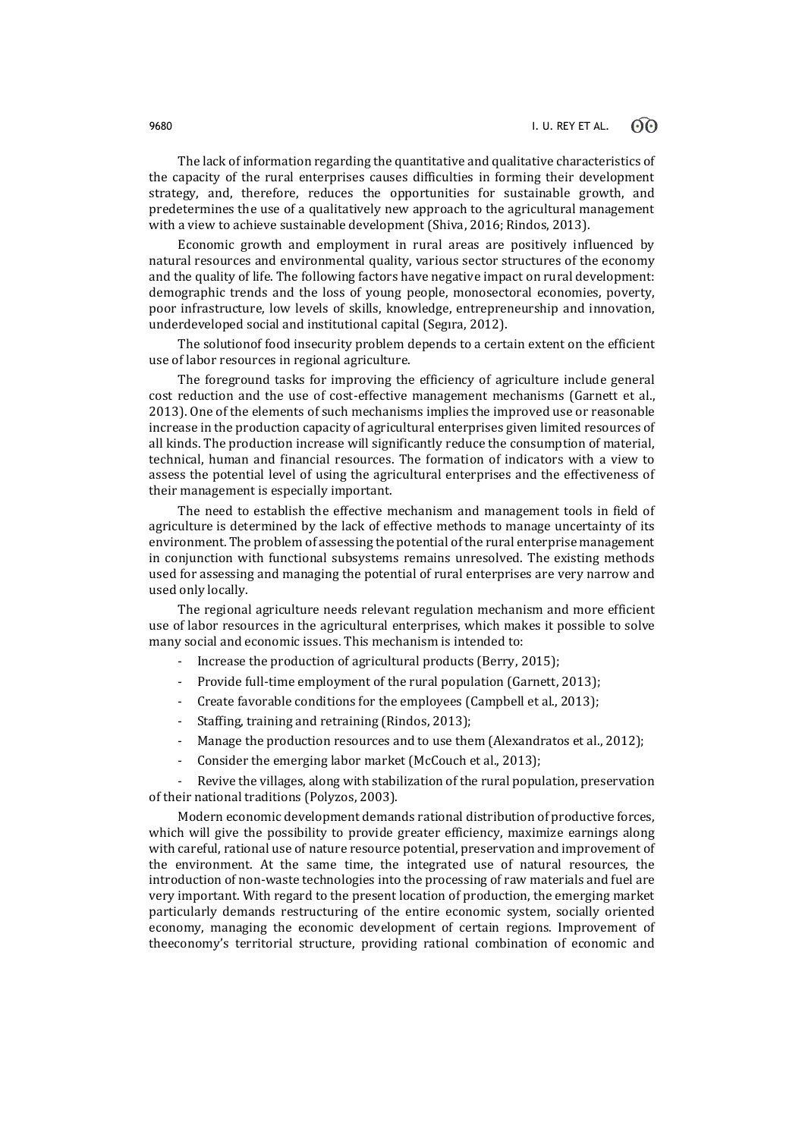The lack of information regarding the quantitative and qualitative characteristics of the capacity of the rural enterprises causes difficulties in forming their development strategy, and, therefore, reduces the opportunities for sustainable growth, and predetermines the use of a qualitatively new approach to the agricultural management with a view to achieve sustainable development (Shiva, 2016; Rindos, 2013).

Economic growth and employment in rural areas are positively influenced by natural resources and environmental quality, various sector structures of the economy and the quality of life. The following factors have negative impact on rural development: demographic trends and the loss of young people, monosectoral economies, poverty, poor infrastructure, low levels of skills, knowledge, entrepreneurship and innovation, underdeveloped social and institutional capital (Segıra, 2012).

The solutionof food insecurity problem depends to a certain extent on the efficient use of labor resources in regional agriculture.

The foreground tasks for improving the efficiency of agriculture include general cost reduction and the use of cost-effective management mechanisms (Garnett et al., 2013). One of the elements of such mechanisms implies the improved use or reasonable increase in the production capacity of agricultural enterprises given limited resources of all kinds. The production increase will significantly reduce the consumption of material, technical, human and financial resources. The formation of indicators with a view to assess the potential level of using the agricultural enterprises and the effectiveness of their management is especially important.

The need to establish the effective mechanism and management tools in field of agriculture is determined by the lack of effective methods to manage uncertainty of its environment. The problem of assessing the potential of the rural enterprise management in conjunction with functional subsystems remains unresolved. The existing methods used for assessing and managing the potential of rural enterprises are very narrow and used only locally.

The regional agriculture needs relevant regulation mechanism and more efficient use of labor resources in the agricultural enterprises, which makes it possible to solve many social and economic issues. This mechanism is intended to:

- Increase the production of agricultural products (Berry, 2015);
- Provide full-time employment of the rural population (Garnett, 2013);
- Create favorable conditions for the employees (Campbell et al., 2013);
- Staffing, training and retraining (Rindos, 2013);
- Manage the production resources and to use them (Alexandratos et al., 2012);
- Consider the emerging labor market (McCouch et al., 2013);

Revive the villages, along with stabilization of the rural population, preservation of their national traditions (Polyzos, 2003).

Modern economic development demands rational distribution of productive forces, which will give the possibility to provide greater efficiency, maximize earnings along with careful, rational use of nature resource potential, preservation and improvement of the environment. At the same time, the integrated use of natural resources, the introduction of non-waste technologies into the processing of raw materials and fuel are very important. With regard to the present location of production, the emerging market particularly demands restructuring of the entire economic system, socially oriented economy, managing the economic development of certain regions. Improvement of theeconomy's territorial structure, providing rational combination of economic and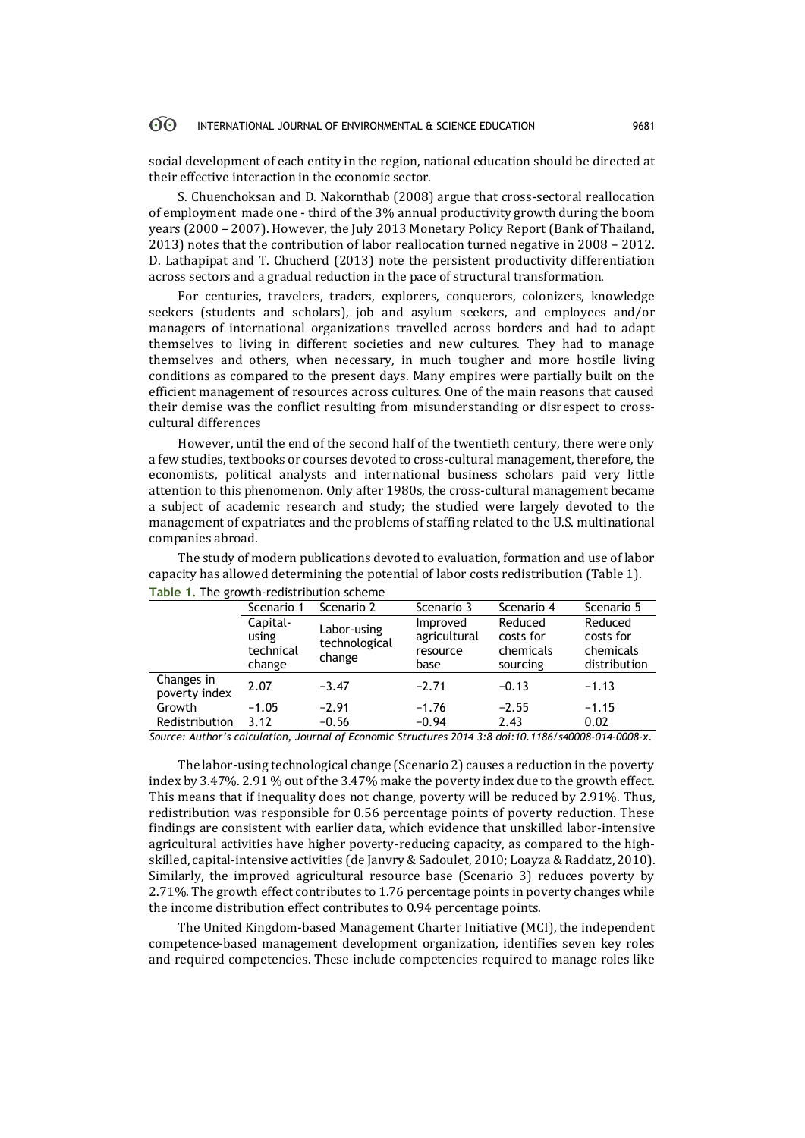social development of each entity in the region, national education should be directed at their effective interaction in the economic sector.

S. Chuenchoksan and D. Nakornthab (2008) argue that cross-sectoral reallocation of employment made one - third of the 3% annual productivity growth during the boom years (2000 – 2007). However, the July 2013 Monetary Policy Report (Bank of Thailand, 2013) notes that the contribution of labor reallocation turned negative in 2008 − 2012. D. Lathapipat and T. Chucherd (2013) note the persistent productivity differentiation across sectors and a gradual reduction in the pace of structural transformation.

For centuries, travelers, traders, explorers, conquerors, colonizers, knowledge seekers (students and scholars), job and asylum seekers, and employees and/or managers of international organizations travelled across borders and had to adapt themselves to living in different societies and new cultures. They had to manage themselves and others, when necessary, in much tougher and more hostile living conditions as compared to the present days. Many empires were partially built on the efficient management of resources across cultures. One of the main reasons that caused their demise was the conflict resulting from misunderstanding or disrespect to crosscultural differences

However, until the end of the second half of the twentieth century, there were only a few studies, textbooks or courses devoted to cross-cultural management, therefore, the economists, political analysts and international business scholars paid very little attention to this phenomenon. Only after 1980s, the cross-cultural management became a subject of academic research and study; the studied were largely devoted to the management of expatriates and the problems of staffing related to the U.S. multinational companies abroad.

| <b>PROTE</b> 1, THE <b>ELOWER TEGRISCHDOLIOII</b> SCHEINE |                                          |                                        |                                              |                                               |                                                   |  |  |  |  |  |
|-----------------------------------------------------------|------------------------------------------|----------------------------------------|----------------------------------------------|-----------------------------------------------|---------------------------------------------------|--|--|--|--|--|
|                                                           | Scenario 1                               | Scenario 2                             | Scenario 3                                   | Scenario 4                                    | Scenario 5                                        |  |  |  |  |  |
|                                                           | Capital-<br>using<br>technical<br>change | Labor-using<br>technological<br>change | Improved<br>agricultural<br>resource<br>base | Reduced<br>costs for<br>chemicals<br>sourcing | Reduced<br>costs for<br>chemicals<br>distribution |  |  |  |  |  |
| Changes in<br>poverty index                               | 2.07                                     | $-3.47$                                | $-2.71$                                      | $-0.13$                                       | $-1.13$                                           |  |  |  |  |  |
| Growth                                                    | $-1.05$                                  | $-2.91$                                | $-1.76$                                      | $-2.55$                                       | $-1.15$                                           |  |  |  |  |  |
| Redistribution                                            | 3.12                                     | $-0.56$                                | $-0.94$                                      | 2.43                                          | 0.02                                              |  |  |  |  |  |

The study of modern publications devoted to evaluation, formation and use of labor capacity has allowed determining the potential of labor costs redistribution (Table 1). **Table 1.** The growth-redistribution scheme

*Source: Author's calculation, Journal of Economic Structures 2014 3:8 doi:10.1186/s40008-014-0008-x.*

The labor-using technological change (Scenario 2) causes a reduction in the poverty index by 3.47%. 2.91 % out of the 3.47% make the poverty index due to the growth effect. This means that if inequality does not change, poverty will be reduced by 2.91%. Thus, redistribution was responsible for 0.56 percentage points of poverty reduction. These findings are consistent with earlier data, which evidence that unskilled labor-intensive agricultural activities have higher poverty-reducing capacity, as compared to the highskilled, capital-intensive activities (de Janvry & Sadoulet, 2010; Loayza & Raddatz, 2010). Similarly, the improved agricultural resource base (Scenario 3) reduces poverty by 2.71%. The growth effect contributes to 1.76 percentage points in poverty changes while the income distribution effect contributes to 0.94 percentage points.

The United Kingdom-based Management Charter Initiative (MCI), the independent competence-based management development organization, identifies seven key roles and required competencies. These include competencies required to manage roles like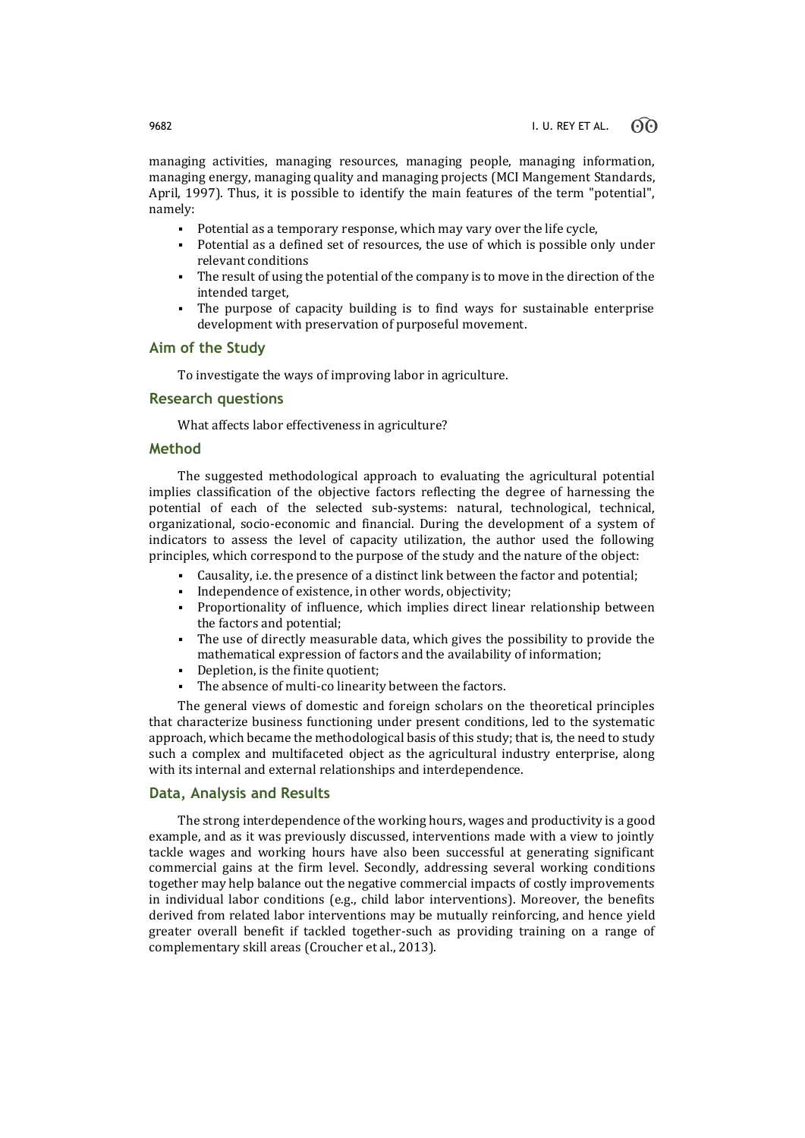managing activities, managing resources, managing people, managing information, managing energy, managing quality and managing projects (MCI Mangement Standards, April, 1997). Thus, it is possible to identify the main features of the term "potential", namely:

- Potential as a temporary response, which may vary over the life cycle,
- Potential as a defined set of resources, the use of which is possible only under relevant conditions
- The result of using the potential of the company is to move in the direction of the intended target,
- The purpose of capacity building is to find ways for sustainable enterprise development with preservation of purposeful movement.

### **Aim of the Study**

To investigate the ways of improving labor in agriculture.

### **Research questions**

What affects labor effectiveness in agriculture?

### **Method**

The suggested methodological approach to evaluating the agricultural potential implies classification of the objective factors reflecting the degree of harnessing the potential of each of the selected sub-systems: natural, technological, technical, organizational, socio-economic and financial. During the development of a system of indicators to assess the level of capacity utilization, the author used the following principles, which correspond to the purpose of the study and the nature of the object:

- Causality, i.e. the presence of a distinct link between the factor and potential;
- Independence of existence, in other words, objectivity;
- Proportionality of influence, which implies direct linear relationship between the factors and potential;
- The use of directly measurable data, which gives the possibility to provide the mathematical expression of factors and the availability of information;
- Depletion, is the finite quotient;
- The absence of multi-co linearity between the factors.

The general views of domestic and foreign scholars on the theoretical principles that characterize business functioning under present conditions, led to the systematic approach, which became the methodological basis of this study; that is, the need to study such a complex and multifaceted object as the agricultural industry enterprise, along with its internal and external relationships and interdependence.

### **Data, Analysis and Results**

The strong interdependence of the working hours, wages and productivity is a good example, and as it was previously discussed, interventions made with a view to jointly tackle wages and working hours have also been successful at generating significant commercial gains at the firm level. Secondly, addressing several working conditions together may help balance out the negative commercial impacts of costly improvements in individual labor conditions (e.g., child labor interventions). Moreover, the benefits derived from related labor interventions may be mutually reinforcing, and hence yield greater overall benefit if tackled together-such as providing training on a range of complementary skill areas (Croucher et al., 2013).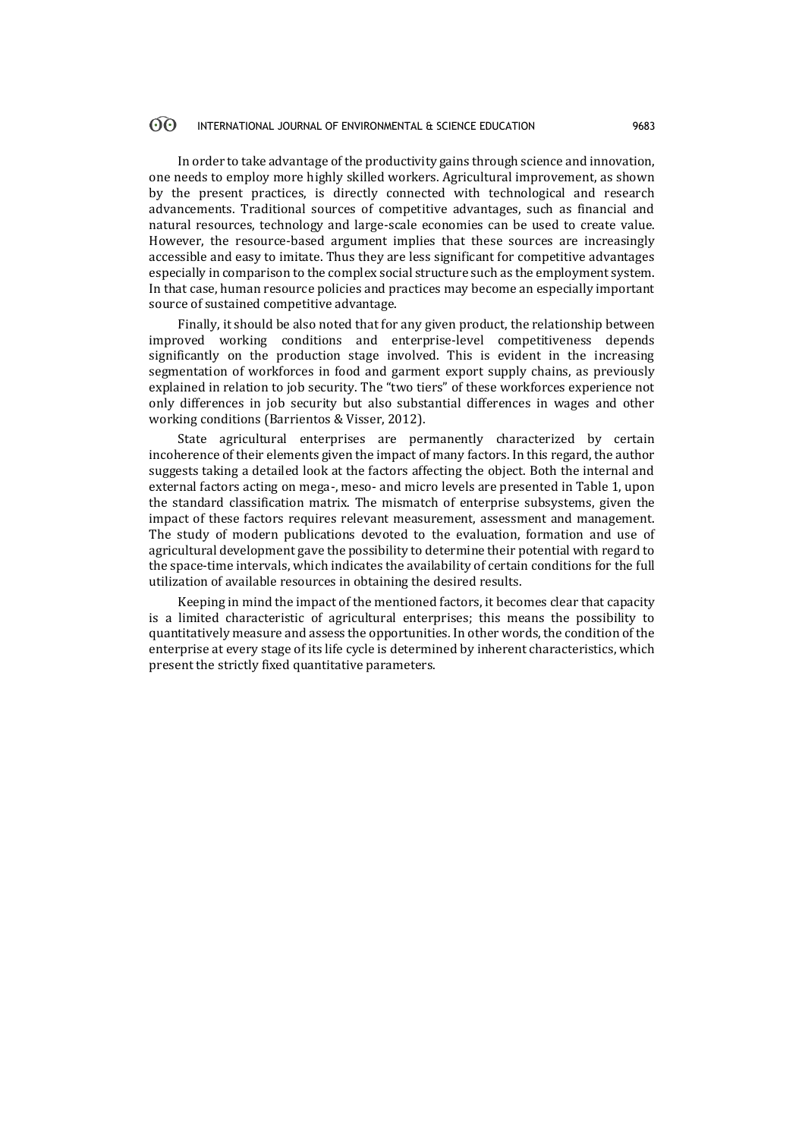In order to take advantage of the productivity gains through science and innovation, one needs to employ more highly skilled workers. Agricultural improvement, as shown by the present practices, is directly connected with technological and research advancements. Traditional sources of competitive advantages, such as financial and natural resources, technology and large-scale economies can be used to create value. However, the resource-based argument implies that these sources are increasingly accessible and easy to imitate. Thus they are less significant for competitive advantages especially in comparison to the complex social structure such as the employment system. In that case, human resource policies and practices may become an especially important source of sustained competitive advantage.

Finally, it should be also noted that for any given product, the relationship between improved working conditions and enterprise-level competitiveness depends significantly on the production stage involved. This is evident in the increasing segmentation of workforces in food and garment export supply chains, as previously explained in relation to job security. The "two tiers" of these workforces experience not only differences in job security but also substantial differences in wages and other working conditions (Barrientos & Visser, 2012).

State agricultural enterprises are permanently characterized by certain incoherence of their elements given the impact of many factors. In this regard, the author suggests taking a detailed look at the factors affecting the object. Both the internal and external factors acting on mega-, meso- and micro levels are presented in Table 1, upon the standard classification matrix. The mismatch of enterprise subsystems, given the impact of these factors requires relevant measurement, assessment and management. The study of modern publications devoted to the evaluation, formation and use of agricultural development gave the possibility to determine their potential with regard to the space-time intervals, which indicates the availability of certain conditions for the full utilization of available resources in obtaining the desired results.

Keeping in mind the impact of the mentioned factors, it becomes clear that capacity is a limited characteristic of agricultural enterprises; this means the possibility to quantitatively measure and assess the opportunities. In other words, the condition of the enterprise at every stage of its life cycle is determined by inherent characteristics, which present the strictly fixed quantitative parameters.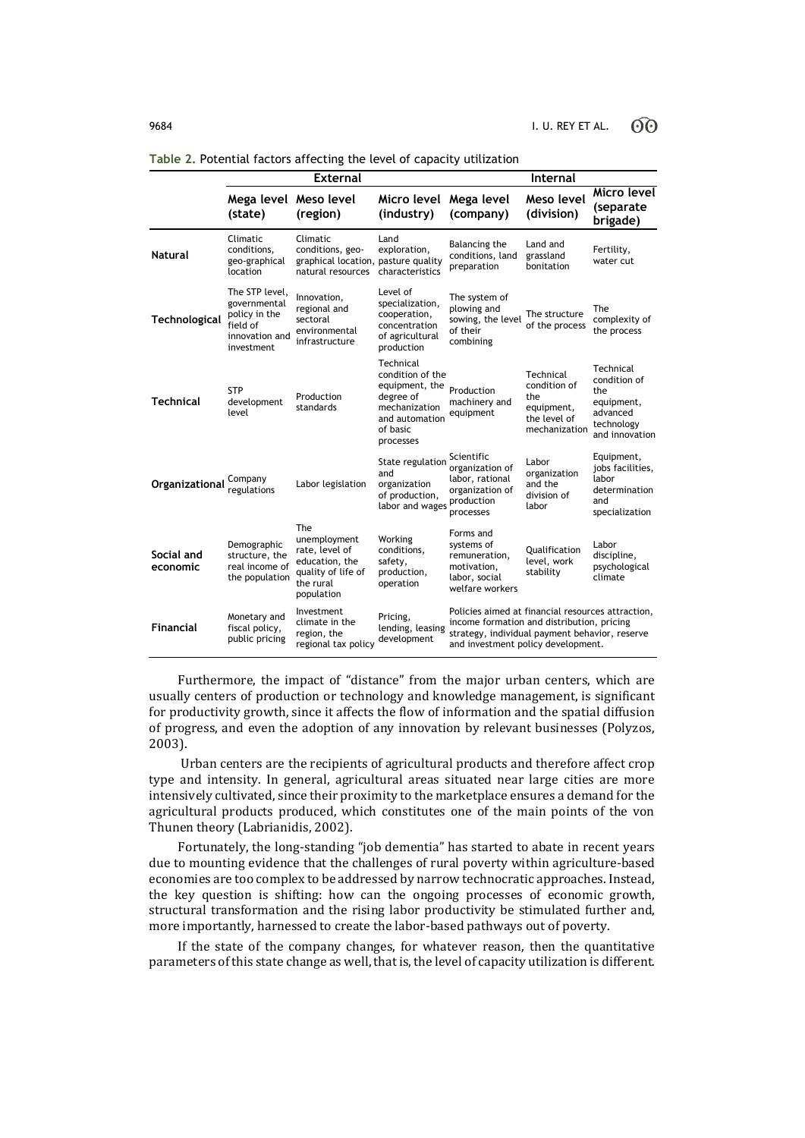|                        |                                                                                             | <b>External</b>                                                                                          |                                                                                                                          | <b>Internal</b>                                                                                                                                                                         |                                                                                 |                                                                                            |
|------------------------|---------------------------------------------------------------------------------------------|----------------------------------------------------------------------------------------------------------|--------------------------------------------------------------------------------------------------------------------------|-----------------------------------------------------------------------------------------------------------------------------------------------------------------------------------------|---------------------------------------------------------------------------------|--------------------------------------------------------------------------------------------|
|                        | Mega level Meso level<br>(state)                                                            | (region)                                                                                                 | Micro level<br>(industry)                                                                                                | Mega level<br>(company)                                                                                                                                                                 | Meso level<br>(division)                                                        | Micro level<br>(separate<br>brigade)                                                       |
| <b>Natural</b>         | Climatic<br>conditions,<br>geo-graphical<br>location                                        | Climatic<br>conditions, geo-<br>graphical location, pasture quality<br>natural resources                 | Land<br>exploration,<br>characteristics                                                                                  | Balancing the<br>conditions, land<br>preparation                                                                                                                                        | Land and<br>grassland<br>bonitation                                             | Fertility,<br>water cut                                                                    |
| Technological          | The STP level,<br>governmental<br>policy in the<br>field of<br>innovation and<br>investment | Innovation,<br>regional and<br>sectoral<br>environmental<br>infrastructure                               | Level of<br>specialization,<br>cooperation,<br>concentration<br>of agricultural<br>production                            | The system of<br>plowing and<br>sowing, the level<br>of their<br>combining                                                                                                              | The structure<br>of the process                                                 | The<br>complexity of<br>the process                                                        |
| <b>Technical</b>       | <b>STP</b><br>development<br>level                                                          | Production<br>standards                                                                                  | Technical<br>condition of the<br>equipment, the<br>degree of<br>mechanization<br>and automation<br>of basic<br>processes | Production<br>machinery and<br>equipment                                                                                                                                                | Technical<br>condition of<br>the<br>equipment,<br>the level of<br>mechanization | Technical<br>condition of<br>the<br>equipment,<br>advanced<br>technology<br>and innovation |
| Organizational         | Company<br>regulations                                                                      | Labor legislation                                                                                        | State regulation<br>and<br>organization<br>of production,<br>labor and wages                                             | Scientific<br>organization of<br>labor, rational<br>organization of<br>production<br>processes                                                                                          | Labor<br>organization<br>and the<br>division of<br>labor                        | Equipment,<br>jobs facilities,<br>labor<br>determination<br>and<br>specialization          |
| Social and<br>economic | Demographic<br>structure, the<br>real income of<br>the population                           | The<br>unemployment<br>rate, level of<br>education, the<br>quality of life of<br>the rural<br>population | Working<br>conditions,<br>safety,<br>production,<br>operation                                                            | Forms and<br>systems of<br>remuneration,<br>motivation,<br>labor, social<br>welfare workers                                                                                             | Oualification<br>level, work<br>stability                                       | Labor<br>discipline,<br>psychological<br>climate                                           |
| <b>Financial</b>       | Monetary and<br>fiscal policy,<br>public pricing                                            | Investment<br>climate in the<br>region, the<br>regional tax policy                                       | Pricing,<br>lending, leasing<br>development                                                                              | Policies aimed at financial resources attraction,<br>income formation and distribution, pricing<br>strategy, individual payment behavior, reserve<br>and investment policy development. |                                                                                 |                                                                                            |

**Table 2.** Potential factors affecting the level of capacity utilization

Furthermore, the impact of "distance" from the major urban centers, which are usually centers of production or technology and knowledge management, is significant for productivity growth, since it affects the flow of information and the spatial diffusion of progress, and even the adoption of any innovation by relevant businesses (Polyzos, 2003).

Urban centers are the recipients of agricultural products and therefore affect crop type and intensity. In general, agricultural areas situated near large cities are more intensively cultivated, since their proximity to the marketplace ensures a demand for the agricultural products produced, which constitutes one of the main points of the von Thunen theory (Labrianidis, 2002).

Fortunately, the long-standing "job dementia" has started to abate in recent years due to mounting evidence that the challenges of rural poverty within agriculture-based economies are too complex to be addressed by narrow technocratic approaches. Instead, the key question is shifting: how can the ongoing processes of economic growth, structural transformation and the rising labor productivity be stimulated further and, more importantly, harnessed to create the labor-based pathways out of poverty.

If the state of the company changes, for whatever reason, then the quantitative parameters of this state change as well, that is, the level of capacity utilization is different.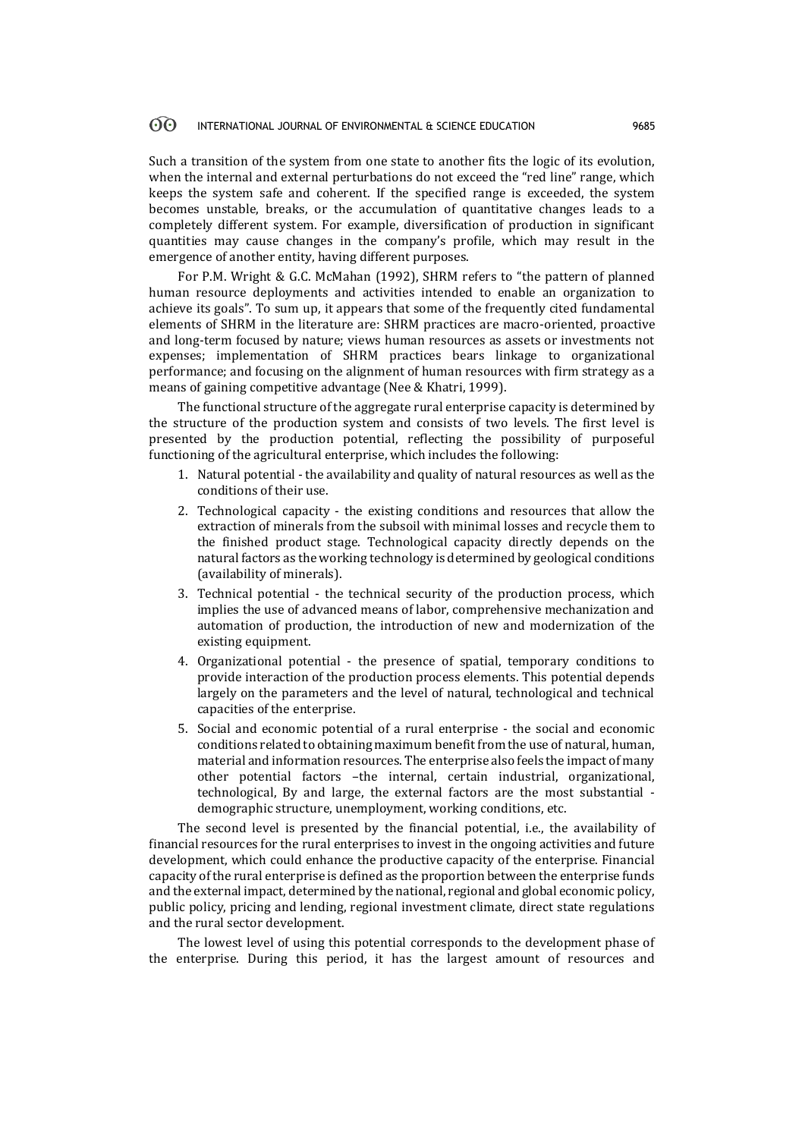Such a transition of the system from one state to another fits the logic of its evolution, when the internal and external perturbations do not exceed the "red line" range, which keeps the system safe and coherent. If the specified range is exceeded, the system becomes unstable, breaks, or the accumulation of quantitative changes leads to a completely different system. For example, diversification of production in significant quantities may cause changes in the company's profile, which may result in the emergence of another entity, having different purposes.

For P.M. Wright & G.C. McMahan (1992), SHRM refers to "the pattern of planned human resource deployments and activities intended to enable an organization to achieve its goals". To sum up, it appears that some of the frequently cited fundamental elements of SHRM in the literature are: SHRM practices are macro-oriented, proactive and long-term focused by nature; views human resources as assets or investments not expenses; implementation of SHRM practices bears linkage to organizational performance; and focusing on the alignment of human resources with firm strategy as a means of gaining competitive advantage (Nee & Khatri, 1999).

The functional structure of the aggregate rural enterprise capacity is determined by the structure of the production system and consists of two levels. The first level is presented by the production potential, reflecting the possibility of purposeful functioning of the agricultural enterprise, which includes the following:

- 1. Natural potential the availability and quality of natural resources as well as the conditions of their use.
- 2. Technological capacity the existing conditions and resources that allow the extraction of minerals from the subsoil with minimal losses and recycle them to the finished product stage. Technological capacity directly depends on the natural factors as the working technology is determined by geological conditions (availability of minerals).
- 3. Technical potential the technical security of the production process, which implies the use of advanced means of labor, comprehensive mechanization and automation of production, the introduction of new and modernization of the existing equipment.
- 4. Organizational potential the presence of spatial, temporary conditions to provide interaction of the production process elements. This potential depends largely on the parameters and the level of natural, technological and technical capacities of the enterprise.
- 5. Social and economic potential of a rural enterprise the social and economic conditions related to obtaining maximum benefit from the use of natural, human, material and information resources. The enterprise also feels the impact of many other potential factors –the internal, certain industrial, organizational, technological, By and large, the external factors are the most substantial demographic structure, unemployment, working conditions, etc.

The second level is presented by the financial potential, i.e., the availability of financial resources for the rural enterprises to invest in the ongoing activities and future development, which could enhance the productive capacity of the enterprise. Financial capacity of the rural enterprise is defined as the proportion between the enterprise funds and the external impact, determined by the national, regional and global economic policy, public policy, pricing and lending, regional investment climate, direct state regulations and the rural sector development.

The lowest level of using this potential corresponds to the development phase of the enterprise. During this period, it has the largest amount of resources and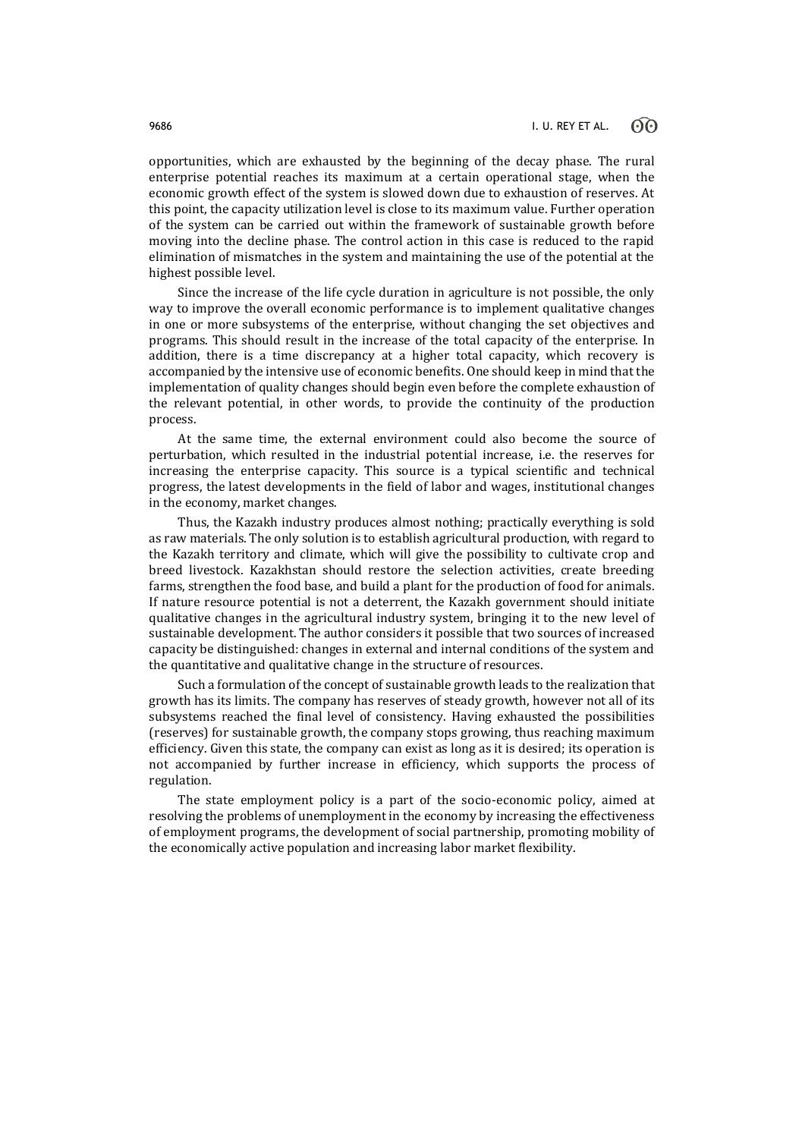opportunities, which are exhausted by the beginning of the decay phase. The rural enterprise potential reaches its maximum at a certain operational stage, when the economic growth effect of the system is slowed down due to exhaustion of reserves. At this point, the capacity utilization level is close to its maximum value. Further operation of the system can be carried out within the framework of sustainable growth before moving into the decline phase. The control action in this case is reduced to the rapid elimination of mismatches in the system and maintaining the use of the potential at the highest possible level.

Since the increase of the life cycle duration in agriculture is not possible, the only way to improve the overall economic performance is to implement qualitative changes in one or more subsystems of the enterprise, without changing the set objectives and programs. This should result in the increase of the total capacity of the enterprise. In addition, there is a time discrepancy at a higher total capacity, which recovery is accompanied by the intensive use of economic benefits. One should keep in mind that the implementation of quality changes should begin even before the complete exhaustion of the relevant potential, in other words, to provide the continuity of the production process.

At the same time, the external environment could also become the source of perturbation, which resulted in the industrial potential increase, i.e. the reserves for increasing the enterprise capacity. This source is a typical scientific and technical progress, the latest developments in the field of labor and wages, institutional changes in the economy, market changes.

Thus, the Kazakh industry produces almost nothing; practically everything is sold as raw materials. The only solution is to establish agricultural production, with regard to the Kazakh territory and climate, which will give the possibility to cultivate crop and breed livestock. Kazakhstan should restore the selection activities, create breeding farms, strengthen the food base, and build a plant for the production of food for animals. If nature resource potential is not a deterrent, the Kazakh government should initiate qualitative changes in the agricultural industry system, bringing it to the new level of sustainable development. The author considers it possible that two sources of increased capacity be distinguished: changes in external and internal conditions of the system and the quantitative and qualitative change in the structure of resources.

Such a formulation of the concept of sustainable growth leads to the realization that growth has its limits. The company has reserves of steady growth, however not all of its subsystems reached the final level of consistency. Having exhausted the possibilities (reserves) for sustainable growth, the company stops growing, thus reaching maximum efficiency. Given this state, the company can exist as long as it is desired; its operation is not accompanied by further increase in efficiency, which supports the process of regulation.

The state employment policy is a part of the socio-economic policy, aimed at resolving the problems of unemployment in the economy by increasing the effectiveness of employment programs, the development of social partnership, promoting mobility of the economically active population and increasing labor market flexibility.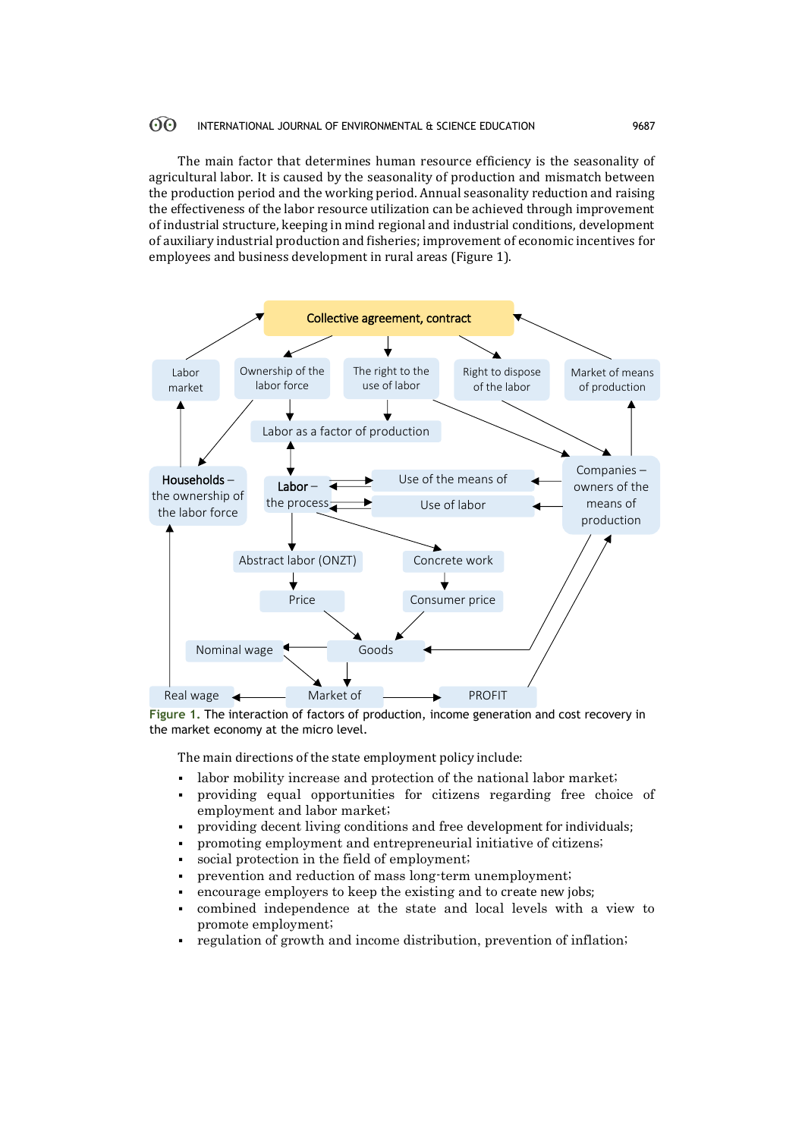The main factor that determines human resource efficiency is the seasonality of agricultural labor. It is caused by the seasonality of production and mismatch between the production period and the working period. Annual seasonality reduction and raising the effectiveness of the labor resource utilization can be achieved through improvement of industrial structure, keeping in mind regional and industrial conditions, development of auxiliary industrial production and fisheries; improvement of economic incentives for employees and business development in rural areas (Figure 1).



Figure 1. The interaction of factors of production, income generation and cost recovery in the market economy at the micro level.

The main directions of the state employment policy include:

- labor mobility increase and protection of the national labor market;
- providing equal opportunities for citizens regarding free choice of employment and labor market;
- providing decent living conditions and free development for individuals;
- promoting employment and entrepreneurial initiative of citizens;
- social protection in the field of employment;
- prevention and reduction of mass long-term unemployment;
- encourage employers to keep the existing and to create new jobs;
- combined independence at the state and local levels with a view to promote employment;
- regulation of growth and income distribution, prevention of inflation;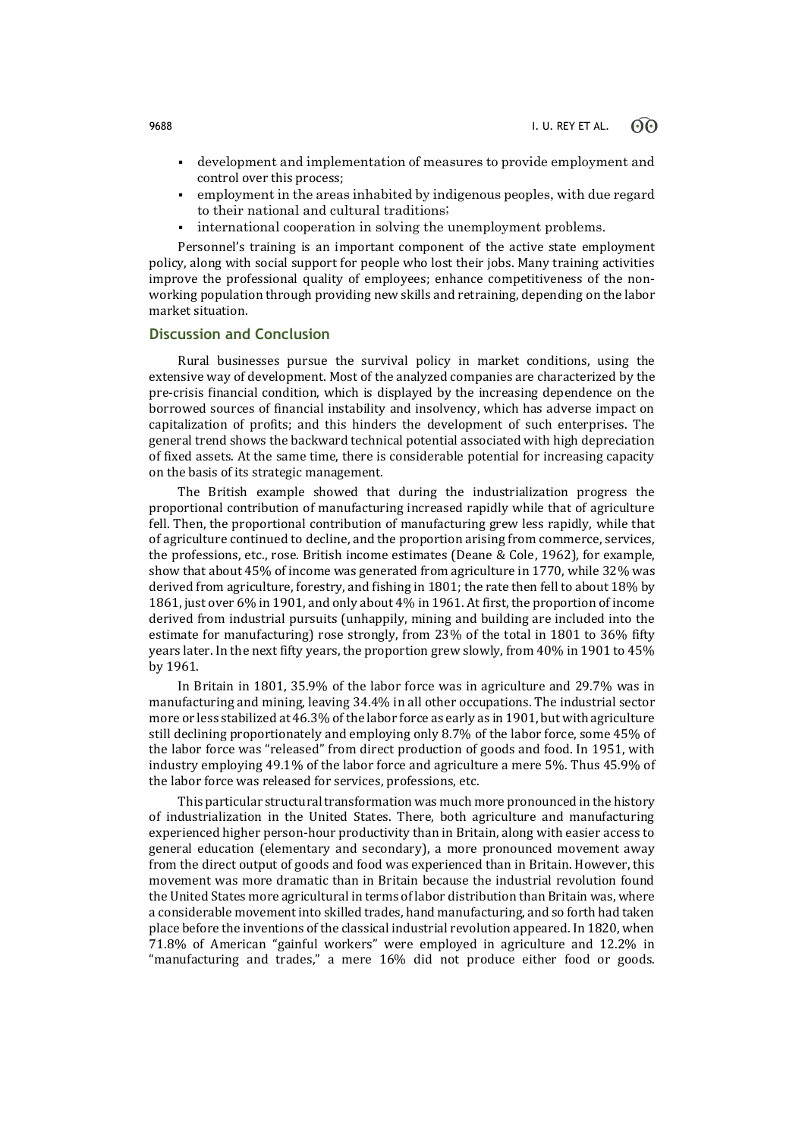- development and implementation of measures to provide employment and control over this process;
- employment in the areas inhabited by indigenous peoples, with due regard to their national and cultural traditions;
- international cooperation in solving the unemployment problems.

Personnel's training is an important component of the active state employment policy, along with social support for people who lost their jobs. Many training activities improve the professional quality of employees; enhance competitiveness of the nonworking population through providing new skills and retraining, depending on the labor market situation.

## **Discussion and Conclusion**

Rural businesses pursue the survival policy in market conditions, using the extensive way of development. Most of the analyzed companies are characterized by the pre-crisis financial condition, which is displayed by the increasing dependence on the borrowed sources of financial instability and insolvency, which has adverse impact on capitalization of profits; and this hinders the development of such enterprises. The general trend shows the backward technical potential associated with high depreciation of fixed assets. At the same time, there is considerable potential for increasing capacity on the basis of its strategic management.

The British example showed that during the industrialization progress the proportional contribution of manufacturing increased rapidly while that of agriculture fell. Then, the proportional contribution of manufacturing grew less rapidly, while that of agriculture continued to decline, and the proportion arising from commerce, services, the professions, etc., rose. British income estimates (Deane & Cole, 1962), for example, show that about 45% of income was generated from agriculture in 1770, while 32% was derived from agriculture, forestry, and fishing in 1801; the rate then fell to about 18% by 1861, just over 6% in 1901, and only about 4% in 1961. At first, the proportion of income derived from industrial pursuits (unhappily, mining and building are included into the estimate for manufacturing) rose strongly, from 23% of the total in 1801 to 36% fifty years later. In the next fifty years, the proportion grew slowly, from 40% in 1901 to 45% by 1961.

In Britain in 1801, 35.9% of the labor force was in agriculture and 29.7% was in manufacturing and mining, leaving 34.4% in all other occupations. The industrial sector more or less stabilized at 46.3% of the labor force as early as in 1901, but with agriculture still declining proportionately and employing only 8.7% of the labor force, some 45% of the labor force was "released" from direct production of goods and food. In 1951, with industry employing 49.1% of the labor force and agriculture a mere 5%. Thus 45.9% of the labor force was released for services, professions, etc.

This particular structural transformation was much more pronounced in the history of industrialization in the United States. There, both agriculture and manufacturing experienced higher person-hour productivity than in Britain, along with easier access to general education (elementary and secondary), a more pronounced movement away from the direct output of goods and food was experienced than in Britain. However, this movement was more dramatic than in Britain because the industrial revolution found the United States more agricultural in terms of labor distribution than Britain was, where a considerable movement into skilled trades, hand manufacturing, and so forth had taken place before the inventions of the classical industrial revolution appeared. In 1820, when 71.8% of American "gainful workers" were employed in agriculture and 12.2% in "manufacturing and trades," a mere 16% did not produce either food or goods.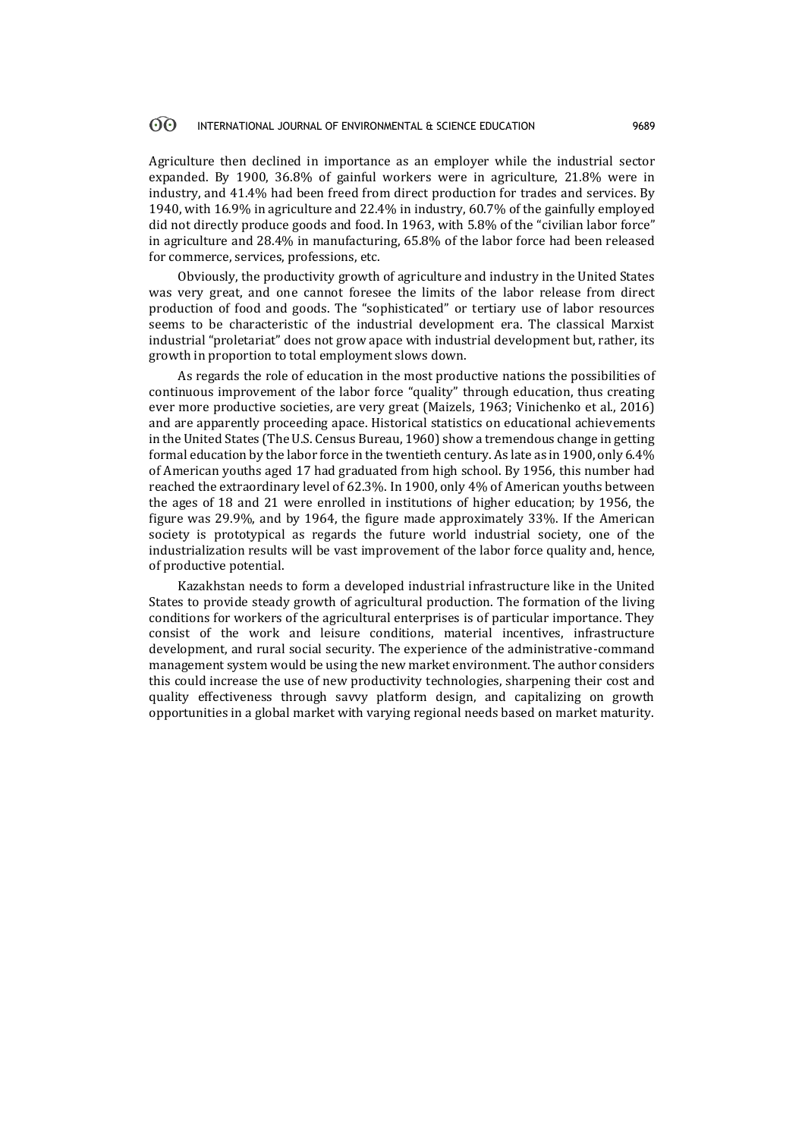Agriculture then declined in importance as an employer while the industrial sector expanded. By 1900, 36.8% of gainful workers were in agriculture, 21.8% were in industry, and 41.4% had been freed from direct production for trades and services. By 1940, with 16.9% in agriculture and 22.4% in industry, 60.7% of the gainfully employed did not directly produce goods and food. In 1963, with 5.8% of the "civilian labor force" in agriculture and 28.4% in manufacturing, 65.8% of the labor force had been released for commerce, services, professions, etc.

Obviously, the productivity growth of agriculture and industry in the United States was very great, and one cannot foresee the limits of the labor release from direct production of food and goods. The "sophisticated" or tertiary use of labor resources seems to be characteristic of the industrial development era. The classical Marxist industrial "proletariat" does not grow apace with industrial development but, rather, its growth in proportion to total employment slows down.

As regards the role of education in the most productive nations the possibilities of continuous improvement of the labor force "quality" through education, thus creating ever more productive societies, are very great (Maizels, 1963; Vinichenko et al., 2016) and are apparently proceeding apace. Historical statistics on educational achievements in the United States (The U.S. Census Bureau, 1960) show a tremendous change in getting formal education by the labor force in the twentieth century. As late as in 1900, only 6.4% of American youths aged 17 had graduated from high school. By 1956, this number had reached the extraordinary level of 62.3%. In 1900, only 4% of American youths between the ages of 18 and 21 were enrolled in institutions of higher education; by 1956, the figure was 29.9%, and by 1964, the figure made approximately 33%. If the American society is prototypical as regards the future world industrial society, one of the industrialization results will be vast improvement of the labor force quality and, hence, of productive potential.

Kazakhstan needs to form a developed industrial infrastructure like in the United States to provide steady growth of agricultural production. The formation of the living conditions for workers of the agricultural enterprises is of particular importance. They consist of the work and leisure conditions, material incentives, infrastructure development, and rural social security. The experience of the administrative-command management system would be using the new market environment. The author considers this could increase the use of new productivity technologies, sharpening their cost and quality effectiveness through savvy platform design, and capitalizing on growth opportunities in a global market with varying regional needs based on market maturity.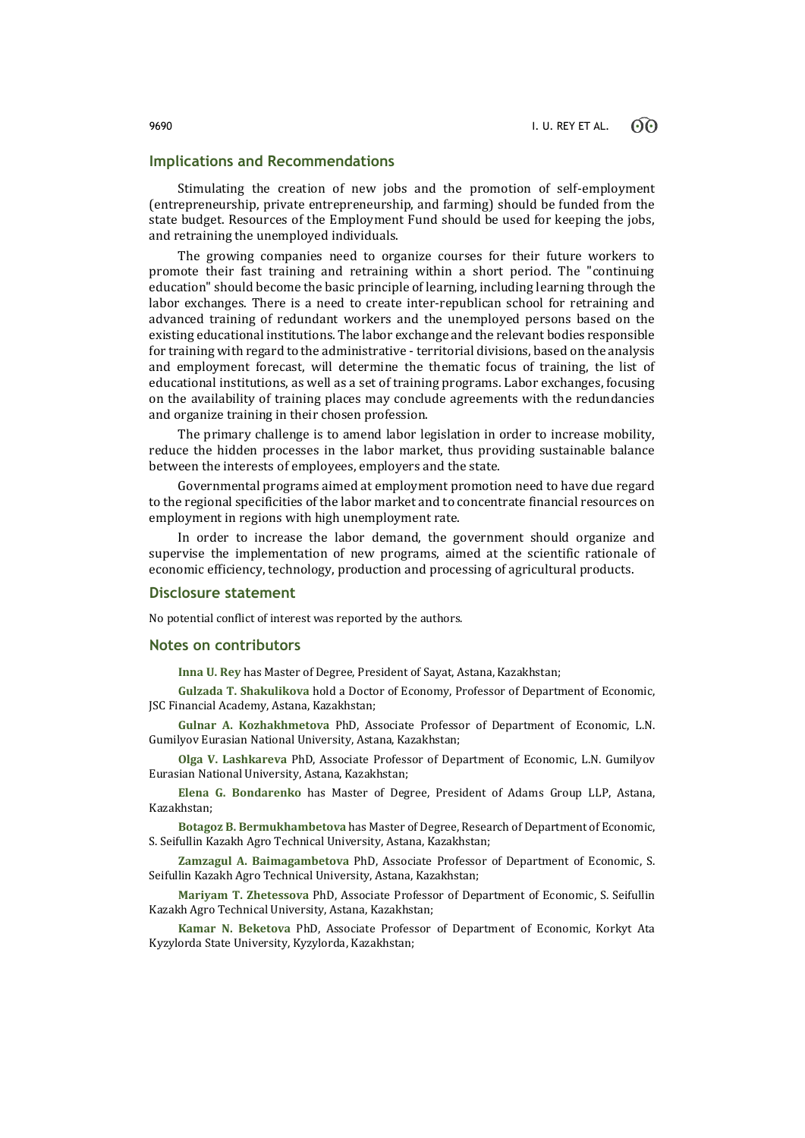### **Implications and Recommendations**

Stimulating the creation of new jobs and the promotion of self-employment (entrepreneurship, private entrepreneurship, and farming) should be funded from the state budget. Resources of the Employment Fund should be used for keeping the jobs, and retraining the unemployed individuals.

The growing companies need to organize courses for their future workers to promote their fast training and retraining within a short period. The "continuing education" should become the basic principle of learning, including learning through the labor exchanges. There is a need to create inter-republican school for retraining and advanced training of redundant workers and the unemployed persons based on the existing educational institutions. The labor exchange and the relevant bodies responsible for training with regard to the administrative - territorial divisions, based on the analysis and employment forecast, will determine the thematic focus of training, the list of educational institutions, as well as a set of training programs. Labor exchanges, focusing on the availability of training places may conclude agreements with the redundancies and organize training in their chosen profession.

The primary challenge is to amend labor legislation in order to increase mobility, reduce the hidden processes in the labor market, thus providing sustainable balance between the interests of employees, employers and the state.

Governmental programs aimed at employment promotion need to have due regard to the regional specificities of the labor market and to concentrate financial resources on employment in regions with high unemployment rate.

In order to increase the labor demand, the government should organize and supervise the implementation of new programs, aimed at the scientific rationale of economic efficiency, technology, production and processing of agricultural products.

### **Disclosure statement**

No potential conflict of interest was reported by the authors.

### **Notes on contributors**

**Inna U. Rеy** has Master of Degree, President of Sayat, Astana, Kazakhstan;

**Gulzada T. Shakulikova** hold a Doctor of Economy, Professor of Department of Economic, JSC Financial Academy, Astana, Kazakhstan;

**Gulnar A. Kozhakhmetova** PhD, Associate Professor of Department of Economic, L.N. Gumilyov Eurasian National University, Astana, Kazakhstan;

**Olga V. Lashkareva** PhD, Associate Professor of Department of Economic, L.N. Gumilyov Eurasian National University, Astana, Kazakhstan;

**Elena G. Bondarenko** has Master of Degree, President of Adams Group LLP, Astana, Kazakhstan;

**Botagoz B. Bermukhambetova** has Master of Degree, Research of Department of Economic, S. Seifullin Kazakh Agro Technical University, Astana, Kazakhstan;

**Zamzagul A. Baimagambetova** PhD, Associate Professor of Department of Economic, S. Seifullin Kazakh Agro Technical University, Astana, Kazakhstan;

**Mariyam T. Zhetessova** PhD, Associate Professor of Department of Economic, S. Seifullin Kazakh Agro Technical University, Astana, Kazakhstan;

**Kamar N. Beketova** PhD, Associate Professor of Department of Economic, Korkyt Ata Kyzylorda State University, Kyzylorda, Kazakhstan;